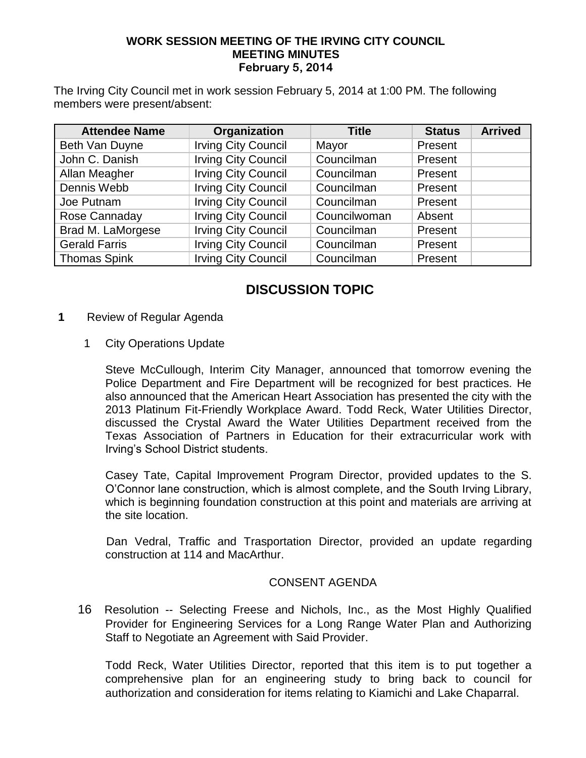#### **WORK SESSION MEETING OF THE IRVING CITY COUNCIL MEETING MINUTES February 5, 2014**

The Irving City Council met in work session February 5, 2014 at 1:00 PM. The following members were present/absent:

| <b>Attendee Name</b> | Organization               | <b>Title</b> | <b>Status</b> | <b>Arrived</b> |
|----------------------|----------------------------|--------------|---------------|----------------|
| Beth Van Duyne       | <b>Irving City Council</b> | Mayor        | Present       |                |
| John C. Danish       | <b>Irving City Council</b> | Councilman   | Present       |                |
| Allan Meagher        | <b>Irving City Council</b> | Councilman   | Present       |                |
| Dennis Webb          | <b>Irving City Council</b> | Councilman   | Present       |                |
| Joe Putnam           | <b>Irving City Council</b> | Councilman   | Present       |                |
| Rose Cannaday        | <b>Irving City Council</b> | Councilwoman | Absent        |                |
| Brad M. LaMorgese    | <b>Irving City Council</b> | Councilman   | Present       |                |
| <b>Gerald Farris</b> | <b>Irving City Council</b> | Councilman   | Present       |                |
| <b>Thomas Spink</b>  | <b>Irving City Council</b> | Councilman   | Present       |                |

# **DISCUSSION TOPIC**

- **1** Review of Regular Agenda
	- 1 City Operations Update

 Steve McCullough, Interim City Manager, announced that tomorrow evening the Police Department and Fire Department will be recognized for best practices. He also announced that the American Heart Association has presented the city with the 2013 Platinum Fit-Friendly Workplace Award. Todd Reck, Water Utilities Director, discussed the Crystal Award the Water Utilities Department received from the Texas Association of Partners in Education for their extracurricular work with Irving's School District students.

Casey Tate, Capital Improvement Program Director, provided updates to the S. O'Connor lane construction, which is almost complete, and the South Irving Library, which is beginning foundation construction at this point and materials are arriving at the site location.

 Dan Vedral, Traffic and Trasportation Director, provided an update regarding construction at 114 and MacArthur.

### CONSENT AGENDA

 16Resolution -- Selecting Freese and Nichols, Inc., as the Most Highly Qualified Provider for Engineering Services for a Long Range Water Plan and Authorizing Staff to Negotiate an Agreement with Said Provider.

Todd Reck, Water Utilities Director, reported that this item is to put together a comprehensive plan for an engineering study to bring back to council for authorization and consideration for items relating to Kiamichi and Lake Chaparral.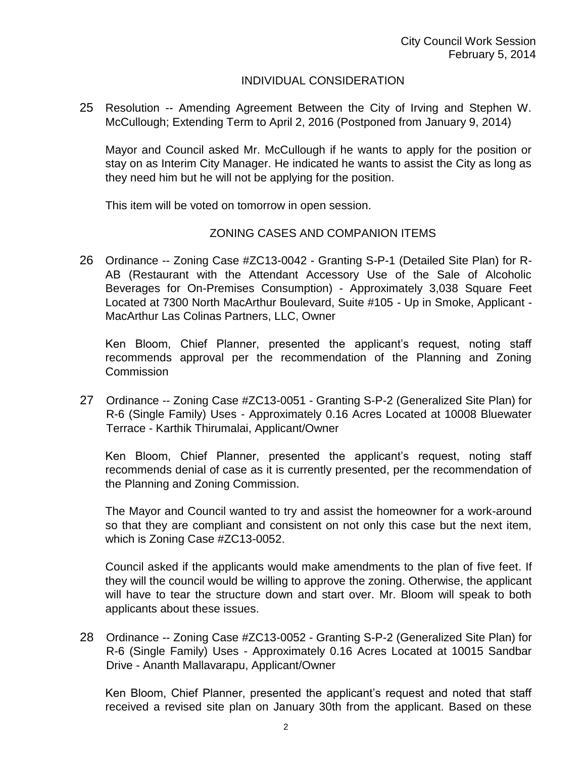## INDIVIDUAL CONSIDERATION

25 Resolution -- Amending Agreement Between the City of Irving and Stephen W. McCullough; Extending Term to April 2, 2016 (Postponed from January 9, 2014)

Mayor and Council asked Mr. McCullough if he wants to apply for the position or stay on as Interim City Manager. He indicated he wants to assist the City as long as they need him but he will not be applying for the position.

This item will be voted on tomorrow in open session.

## ZONING CASES AND COMPANION ITEMS

26 Ordinance -- Zoning Case #ZC13-0042 - Granting S-P-1 (Detailed Site Plan) for R-AB (Restaurant with the Attendant Accessory Use of the Sale of Alcoholic Beverages for On-Premises Consumption) - Approximately 3,038 Square Feet Located at 7300 North MacArthur Boulevard, Suite #105 - Up in Smoke, Applicant - MacArthur Las Colinas Partners, LLC, Owner

Ken Bloom, Chief Planner, presented the applicant's request, noting staff recommends approval per the recommendation of the Planning and Zoning Commission

27 Ordinance -- Zoning Case #ZC13-0051 - Granting S-P-2 (Generalized Site Plan) for R-6 (Single Family) Uses - Approximately 0.16 Acres Located at 10008 Bluewater Terrace - Karthik Thirumalai, Applicant/Owner

Ken Bloom, Chief Planner, presented the applicant's request, noting staff recommends denial of case as it is currently presented, per the recommendation of the Planning and Zoning Commission.

The Mayor and Council wanted to try and assist the homeowner for a work-around so that they are compliant and consistent on not only this case but the next item, which is Zoning Case #ZC13-0052.

Council asked if the applicants would make amendments to the plan of five feet. If they will the council would be willing to approve the zoning. Otherwise, the applicant will have to tear the structure down and start over. Mr. Bloom will speak to both applicants about these issues.

28 Ordinance -- Zoning Case #ZC13-0052 - Granting S-P-2 (Generalized Site Plan) for R-6 (Single Family) Uses - Approximately 0.16 Acres Located at 10015 Sandbar Drive - Ananth Mallavarapu, Applicant/Owner

Ken Bloom, Chief Planner, presented the applicant's request and noted that staff received a revised site plan on January 30th from the applicant. Based on these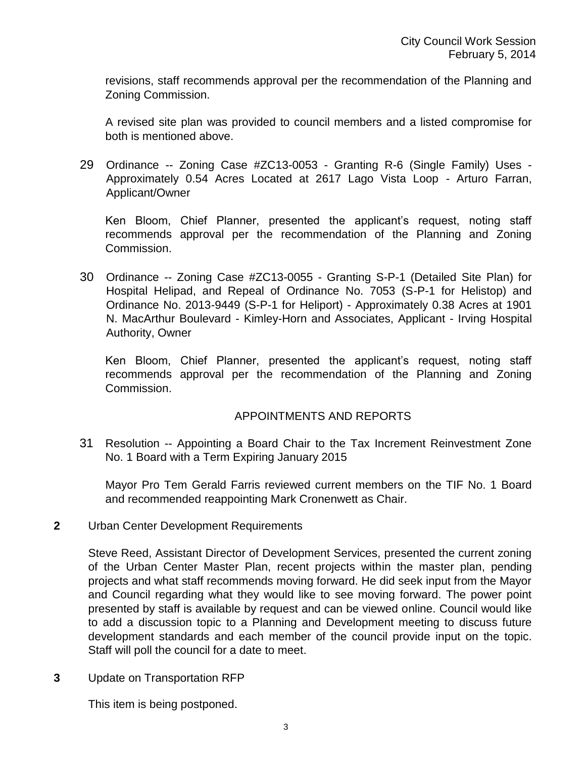revisions, staff recommends approval per the recommendation of the Planning and Zoning Commission.

A revised site plan was provided to council members and a listed compromise for both is mentioned above.

29 Ordinance -- Zoning Case #ZC13-0053 - Granting R-6 (Single Family) Uses - Approximately 0.54 Acres Located at 2617 Lago Vista Loop - Arturo Farran, Applicant/Owner

Ken Bloom, Chief Planner, presented the applicant's request, noting staff recommends approval per the recommendation of the Planning and Zoning Commission.

30 Ordinance -- Zoning Case #ZC13-0055 - Granting S-P-1 (Detailed Site Plan) for Hospital Helipad, and Repeal of Ordinance No. 7053 (S-P-1 for Helistop) and Ordinance No. 2013-9449 (S-P-1 for Heliport) - Approximately 0.38 Acres at 1901 N. MacArthur Boulevard - Kimley-Horn and Associates, Applicant - Irving Hospital Authority, Owner

Ken Bloom, Chief Planner, presented the applicant's request, noting staff recommends approval per the recommendation of the Planning and Zoning Commission.

### APPOINTMENTS AND REPORTS

31 Resolution -- Appointing a Board Chair to the Tax Increment Reinvestment Zone No. 1 Board with a Term Expiring January 2015

Mayor Pro Tem Gerald Farris reviewed current members on the TIF No. 1 Board and recommended reappointing Mark Cronenwett as Chair.

### **2** Urban Center Development Requirements

Steve Reed, Assistant Director of Development Services, presented the current zoning of the Urban Center Master Plan, recent projects within the master plan, pending projects and what staff recommends moving forward. He did seek input from the Mayor and Council regarding what they would like to see moving forward. The power point presented by staff is available by request and can be viewed online. Council would like to add a discussion topic to a Planning and Development meeting to discuss future development standards and each member of the council provide input on the topic. Staff will poll the council for a date to meet.

**3** Update on Transportation RFP

This item is being postponed.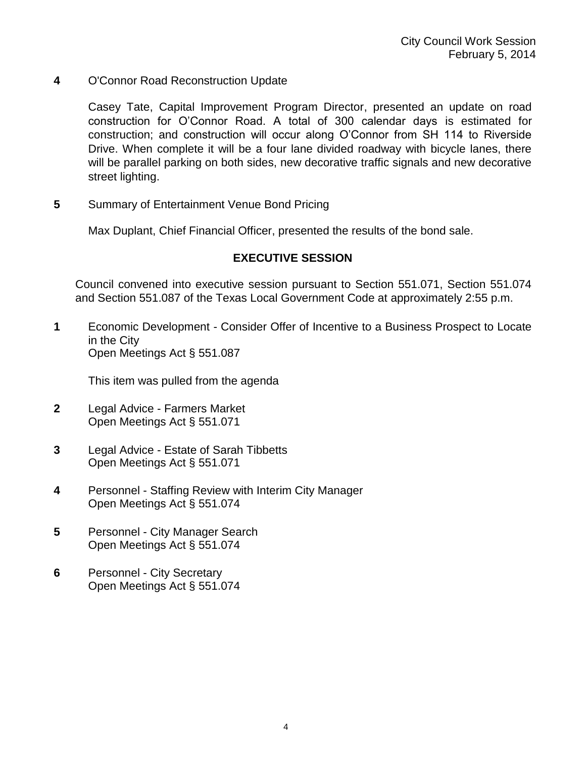**4** O'Connor Road Reconstruction Update

Casey Tate, Capital Improvement Program Director, presented an update on road construction for O'Connor Road. A total of 300 calendar days is estimated for construction; and construction will occur along O'Connor from SH 114 to Riverside Drive. When complete it will be a four lane divided roadway with bicycle lanes, there will be parallel parking on both sides, new decorative traffic signals and new decorative street lighting.

**5** Summary of Entertainment Venue Bond Pricing

Max Duplant, Chief Financial Officer, presented the results of the bond sale.

## **EXECUTIVE SESSION**

Council convened into executive session pursuant to Section 551.071, Section 551.074 and Section 551.087 of the Texas Local Government Code at approximately 2:55 p.m.

**1** Economic Development - Consider Offer of Incentive to a Business Prospect to Locate in the City Open Meetings Act § 551.087

This item was pulled from the agenda

- **2** Legal Advice Farmers Market Open Meetings Act § 551.071
- **3** Legal Advice Estate of Sarah Tibbetts Open Meetings Act § 551.071
- **4** Personnel Staffing Review with Interim City Manager Open Meetings Act § 551.074
- **5** Personnel City Manager Search Open Meetings Act § 551.074
- **6** Personnel City Secretary Open Meetings Act § 551.074